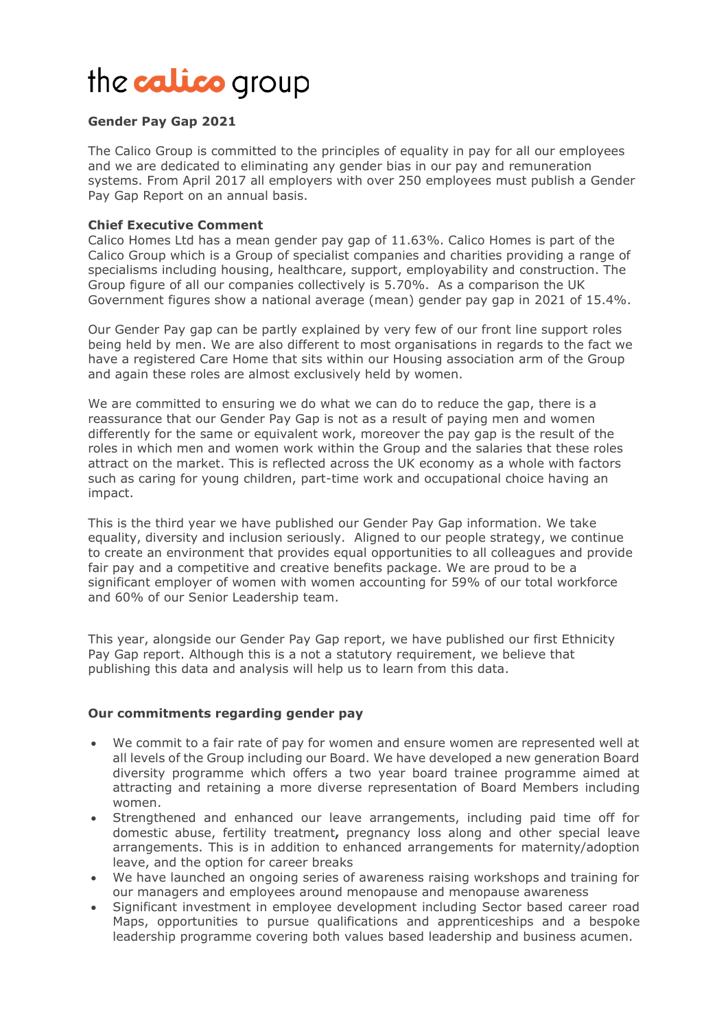# the **calico** group

## **Gender Pay Gap 2021**

The Calico Group is committed to the principles of equality in pay for all our employees and we are dedicated to eliminating any gender bias in our pay and remuneration systems. From April 2017 all employers with over 250 employees must publish a Gender Pay Gap Report on an annual basis.

#### **Chief Executive Comment**

Calico Homes Ltd has a mean gender pay gap of 11.63%. Calico Homes is part of the Calico Group which is a Group of specialist companies and charities providing a range of specialisms including housing, healthcare, support, employability and construction. The Group figure of all our companies collectively is 5.70%. As a comparison the UK Government figures show a national average (mean) gender pay gap in 2021 of 15.4%.

Our Gender Pay gap can be partly explained by very few of our front line support roles being held by men. We are also different to most organisations in regards to the fact we have a registered Care Home that sits within our Housing association arm of the Group and again these roles are almost exclusively held by women.

We are committed to ensuring we do what we can do to reduce the gap, there is a reassurance that our Gender Pay Gap is not as a result of paying men and women differently for the same or equivalent work, moreover the pay gap is the result of the roles in which men and women work within the Group and the salaries that these roles attract on the market. This is reflected across the UK economy as a whole with factors such as caring for young children, part-time work and occupational choice having an impact.

This is the third year we have published our Gender Pay Gap information. We take equality, diversity and inclusion seriously. Aligned to our people strategy, we continue to create an environment that provides equal opportunities to all colleagues and provide fair pay and a competitive and creative benefits package. We are proud to be a significant employer of women with women accounting for 59% of our total workforce and 60% of our Senior Leadership team.

This year, alongside our Gender Pay Gap report, we have published our first Ethnicity Pay Gap report. Although this is a not a statutory requirement, we believe that publishing this data and analysis will help us to learn from this data.

## **Our commitments regarding gender pay**

- We commit to a fair rate of pay for women and ensure women are represented well at all levels of the Group including our Board. We have developed a new generation Board diversity programme which offers a two year board trainee programme aimed at attracting and retaining a more diverse representation of Board Members including women.
- Strengthened and enhanced our leave arrangements, including paid time off for domestic abuse, fertility treatment**,** pregnancy loss along and other special leave arrangements. This is in addition to enhanced arrangements for maternity/adoption leave, and the option for career breaks
- We have launched an ongoing series of awareness raising workshops and training for our managers and employees around menopause and menopause awareness
- Significant investment in employee development including Sector based career road Maps, opportunities to pursue qualifications and apprenticeships and a bespoke leadership programme covering both values based leadership and business acumen.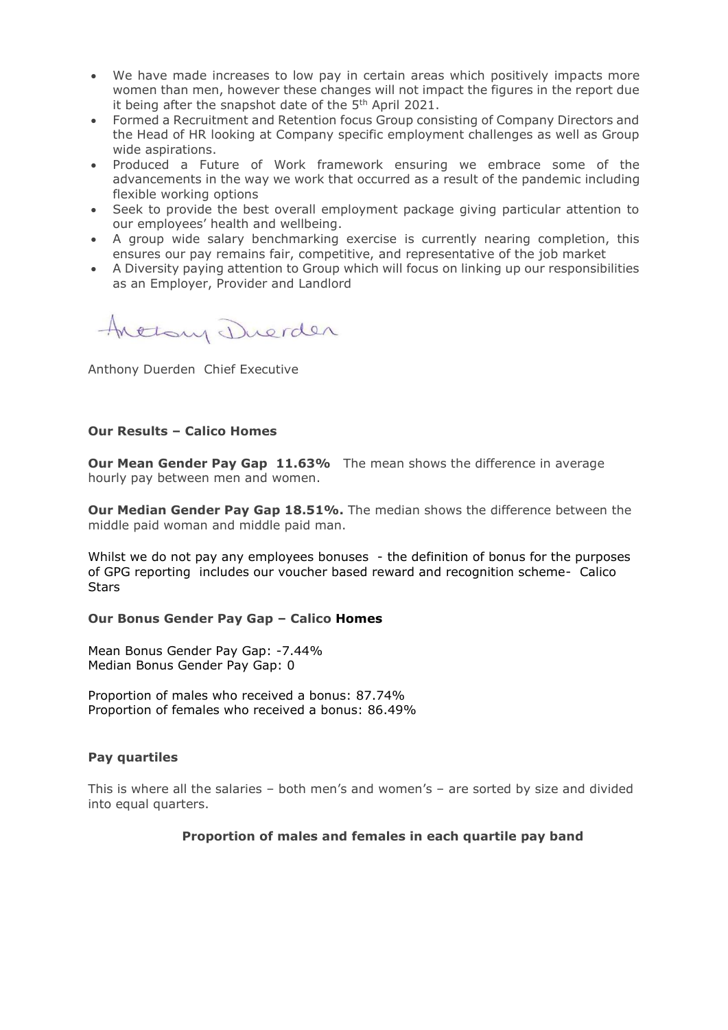- We have made increases to low pay in certain areas which positively impacts more women than men, however these changes will not impact the figures in the report due it being after the snapshot date of the 5<sup>th</sup> April 2021.
- Formed a Recruitment and Retention focus Group consisting of Company Directors and the Head of HR looking at Company specific employment challenges as well as Group wide aspirations.
- Produced a Future of Work framework ensuring we embrace some of the advancements in the way we work that occurred as a result of the pandemic including flexible working options
- Seek to provide the best overall employment package giving particular attention to our employees' health and wellbeing.
- A group wide salary benchmarking exercise is currently nearing completion, this ensures our pay remains fair, competitive, and representative of the job market
- A Diversity paying attention to Group which will focus on linking up our responsibilities as an Employer, Provider and Landlord

Arelany Duerder

Anthony Duerden Chief Executive

#### **Our Results – Calico Homes**

**Our Mean Gender Pay Gap 11.63%** The mean shows the difference in average hourly pay between men and women.

**Our Median Gender Pay Gap 18.51%.** The median shows the difference between the middle paid woman and middle paid man.

Whilst we do not pay any employees bonuses - the definition of bonus for the purposes of GPG reporting includes our voucher based reward and recognition scheme- Calico **Stars** 

## **Our Bonus Gender Pay Gap – Calico Homes**

Mean Bonus Gender Pay Gap: -7.44% Median Bonus Gender Pay Gap: 0

Proportion of males who received a bonus: 87.74% Proportion of females who received a bonus: 86.49%

## **Pay quartiles**

This is where all the salaries – both men's and women's – are sorted by size and divided into equal quarters.

## **Proportion of males and females in each quartile pay band**